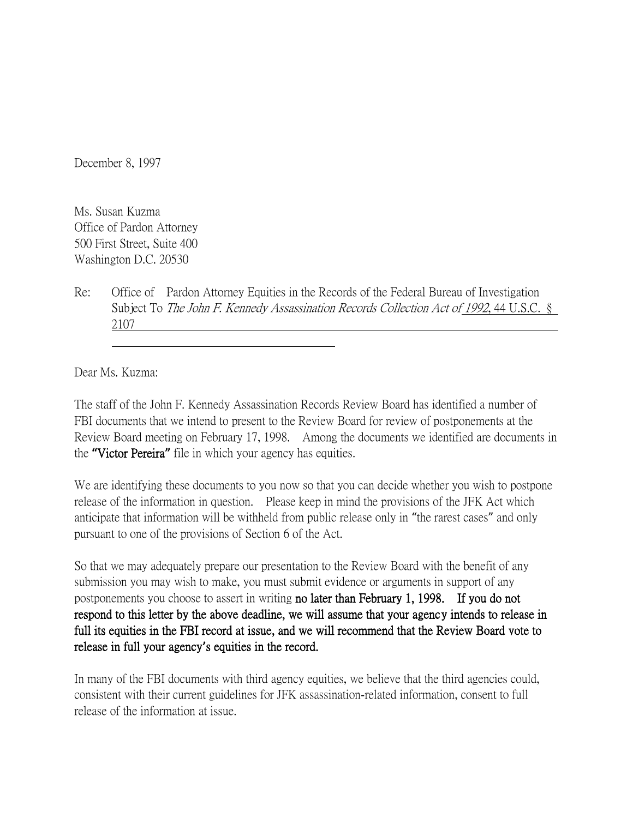December 8, 1997

Ms. Susan Kuzma Office of Pardon Attorney 500 First Street, Suite 400 Washington D.C. 20530

Re: Office of Pardon Attorney Equities in the Records of the Federal Bureau of Investigation Subject To The John F. Kennedy Assassination Records Collection Act of 1992, 44 U.S.C. § 2107

Dear Ms. Kuzma:

The staff of the John F. Kennedy Assassination Records Review Board has identified a number of FBI documents that we intend to present to the Review Board for review of postponements at the Review Board meeting on February 17, 1998. Among the documents we identified are documents in the **"**Victor Pereira**"** file in which your agency has equities.

We are identifying these documents to you now so that you can decide whether you wish to postpone release of the information in question. Please keep in mind the provisions of the JFK Act which anticipate that information will be withheld from public release only in "the rarest cases" and only pursuant to one of the provisions of Section 6 of the Act.

So that we may adequately prepare our presentation to the Review Board with the benefit of any submission you may wish to make, you must submit evidence or arguments in support of any postponements you choose to assert in writing no later than February 1, 1998. If you do not respond to this letter by the above deadline, we will assume that your agency intends to release in full its equities in the FBI record at issue, and we will recommend that the Review Board vote to release in full your agency**'**s equities in the record.

In many of the FBI documents with third agency equities, we believe that the third agencies could, consistent with their current guidelines for JFK assassination-related information, consent to full release of the information at issue.